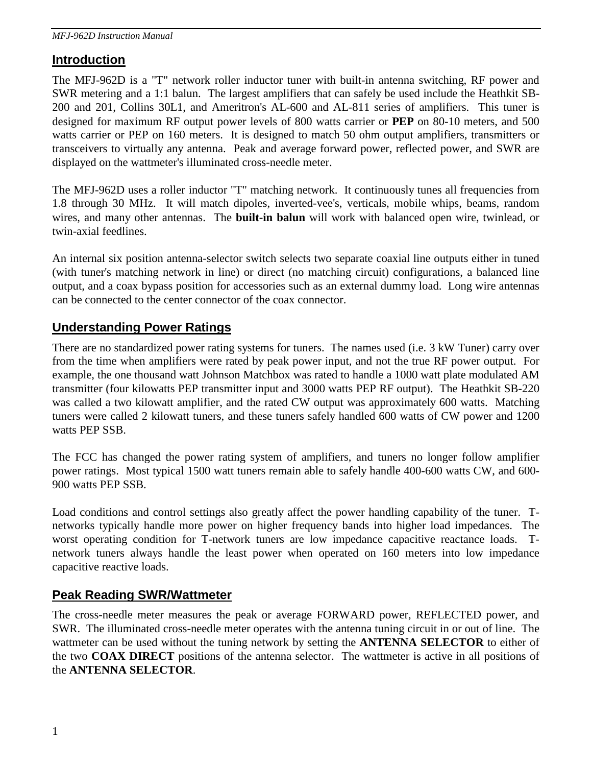### **Introduction**

The MFJ-962D is a "T" network roller inductor tuner with built-in antenna switching, RF power and SWR metering and a 1:1 balun. The largest amplifiers that can safely be used include the Heathkit SB-200 and 201, Collins 30L1, and Ameritron's AL-600 and AL-811 series of amplifiers. This tuner is designed for maximum RF output power levels of 800 watts carrier or **PEP** on 80-10 meters, and 500 watts carrier or PEP on 160 meters. It is designed to match 50 ohm output amplifiers, transmitters or transceivers to virtually any antenna. Peak and average forward power, reflected power, and SWR are displayed on the wattmeter's illuminated cross-needle meter.

The MFJ-962D uses a roller inductor "T" matching network. It continuously tunes all frequencies from 1.8 through 30 MHz. It will match dipoles, inverted-vee's, verticals, mobile whips, beams, random wires, and many other antennas. The **built-in balun** will work with balanced open wire, twinlead, or twin-axial feedlines.

An internal six position antenna-selector switch selects two separate coaxial line outputs either in tuned (with tuner's matching network in line) or direct (no matching circuit) configurations, a balanced line output, and a coax bypass position for accessories such as an external dummy load. Long wire antennas can be connected to the center connector of the coax connector.

#### **Understanding Power Ratings**

There are no standardized power rating systems for tuners. The names used (i.e. 3 kW Tuner) carry over from the time when amplifiers were rated by peak power input, and not the true RF power output. For example, the one thousand watt Johnson Matchbox was rated to handle a 1000 watt plate modulated AM transmitter (four kilowatts PEP transmitter input and 3000 watts PEP RF output). The Heathkit SB-220 was called a two kilowatt amplifier, and the rated CW output was approximately 600 watts. Matching tuners were called 2 kilowatt tuners, and these tuners safely handled 600 watts of CW power and 1200 watts PEP SSB.

The FCC has changed the power rating system of amplifiers, and tuners no longer follow amplifier power ratings. Most typical 1500 watt tuners remain able to safely handle 400-600 watts CW, and 600- 900 watts PEP SSB.

Load conditions and control settings also greatly affect the power handling capability of the tuner. Tnetworks typically handle more power on higher frequency bands into higher load impedances. The worst operating condition for T-network tuners are low impedance capacitive reactance loads. Tnetwork tuners always handle the least power when operated on 160 meters into low impedance capacitive reactive loads.

### **Peak Reading SWR/Wattmeter**

The cross-needle meter measures the peak or average FORWARD power, REFLECTED power, and SWR. The illuminated cross-needle meter operates with the antenna tuning circuit in or out of line. The wattmeter can be used without the tuning network by setting the **ANTENNA SELECTOR** to either of the two **COAX DIRECT** positions of the antenna selector. The wattmeter is active in all positions of the **ANTENNA SELECTOR**.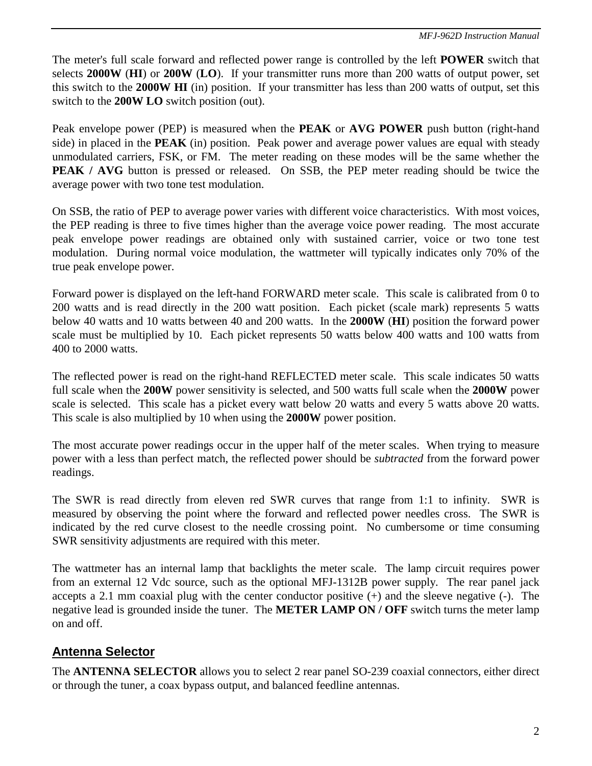The meter's full scale forward and reflected power range is controlled by the left **POWER** switch that selects **2000W** (**HI**) or **200W** (**LO**). If your transmitter runs more than 200 watts of output power, set this switch to the **2000W HI** (in) position. If your transmitter has less than 200 watts of output, set this switch to the **200W LO** switch position (out).

Peak envelope power (PEP) is measured when the **PEAK** or **AVG POWER** push button (right-hand side) in placed in the **PEAK** (in) position. Peak power and average power values are equal with steady unmodulated carriers, FSK, or FM. The meter reading on these modes will be the same whether the **PEAK / AVG** button is pressed or released. On SSB, the PEP meter reading should be twice the average power with two tone test modulation.

On SSB, the ratio of PEP to average power varies with different voice characteristics. With most voices, the PEP reading is three to five times higher than the average voice power reading. The most accurate peak envelope power readings are obtained only with sustained carrier, voice or two tone test modulation. During normal voice modulation, the wattmeter will typically indicates only 70% of the true peak envelope power.

Forward power is displayed on the left-hand FORWARD meter scale. This scale is calibrated from 0 to 200 watts and is read directly in the 200 watt position. Each picket (scale mark) represents 5 watts below 40 watts and 10 watts between 40 and 200 watts. In the **2000W** (**HI**) position the forward power scale must be multiplied by 10. Each picket represents 50 watts below 400 watts and 100 watts from 400 to 2000 watts.

The reflected power is read on the right-hand REFLECTED meter scale. This scale indicates 50 watts full scale when the **200W** power sensitivity is selected, and 500 watts full scale when the **2000W** power scale is selected. This scale has a picket every watt below 20 watts and every 5 watts above 20 watts. This scale is also multiplied by 10 when using the **2000W** power position.

The most accurate power readings occur in the upper half of the meter scales. When trying to measure power with a less than perfect match, the reflected power should be *subtracted* from the forward power readings.

The SWR is read directly from eleven red SWR curves that range from 1:1 to infinity. SWR is measured by observing the point where the forward and reflected power needles cross. The SWR is indicated by the red curve closest to the needle crossing point. No cumbersome or time consuming SWR sensitivity adjustments are required with this meter.

The wattmeter has an internal lamp that backlights the meter scale. The lamp circuit requires power from an external 12 Vdc source, such as the optional MFJ-1312B power supply. The rear panel jack accepts a 2.1 mm coaxial plug with the center conductor positive (+) and the sleeve negative (-). The negative lead is grounded inside the tuner. The **METER LAMP ON / OFF** switch turns the meter lamp on and off.

## **Antenna Selector**

The **ANTENNA SELECTOR** allows you to select 2 rear panel SO-239 coaxial connectors, either direct or through the tuner, a coax bypass output, and balanced feedline antennas.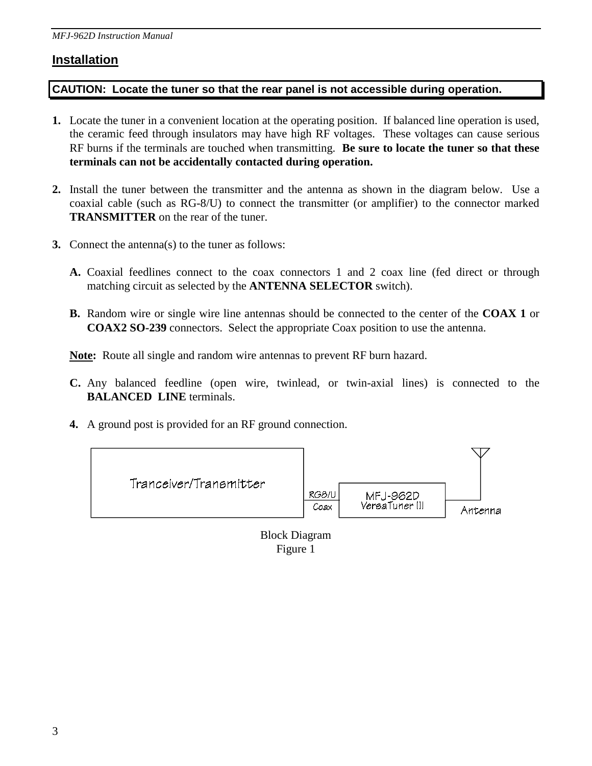### **Installation**

#### **CAUTION: Locate the tuner so that the rear panel is not accessible during operation.**

- **1.** Locate the tuner in a convenient location at the operating position. If balanced line operation is used, the ceramic feed through insulators may have high RF voltages. These voltages can cause serious RF burns if the terminals are touched when transmitting. **Be sure to locate the tuner so that these terminals can not be accidentally contacted during operation.**
- **2.** Install the tuner between the transmitter and the antenna as shown in the diagram below. Use a coaxial cable (such as RG-8/U) to connect the transmitter (or amplifier) to the connector marked **TRANSMITTER** on the rear of the tuner.
- **3.** Connect the antenna(s) to the tuner as follows:
	- **A.** Coaxial feedlines connect to the coax connectors 1 and 2 coax line (fed direct or through matching circuit as selected by the **ANTENNA SELECTOR** switch).
	- **B.** Random wire or single wire line antennas should be connected to the center of the **COAX 1** or **COAX2 SO-239** connectors. Select the appropriate Coax position to use the antenna.

**Note:** Route all single and random wire antennas to prevent RF burn hazard.

- **C.** Any balanced feedline (open wire, twinlead, or twin-axial lines) is connected to the **BALANCED LINE** terminals.
- **4.** A ground post is provided for an RF ground connection.



Figure 1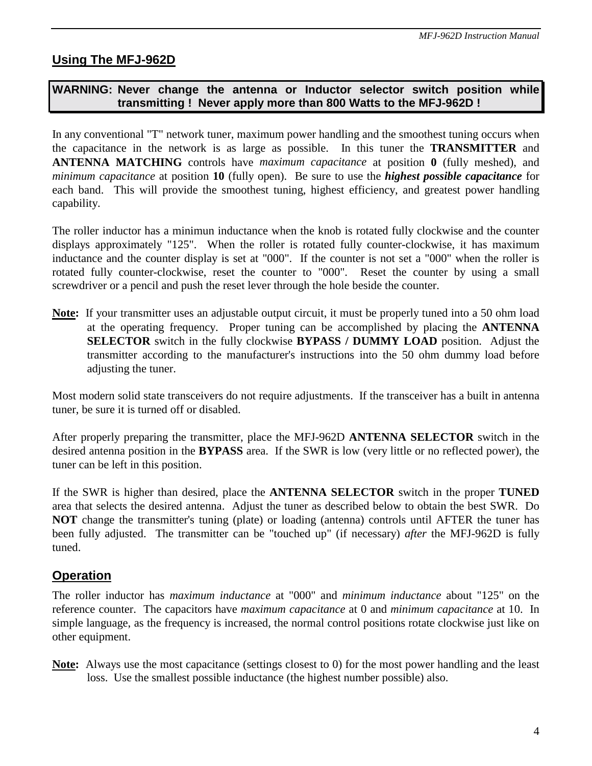## **Using The MFJ-962D**

#### **WARNING: Never change the antenna or Inductor selector switch position while transmitting ! Never apply more than 800 Watts to the MFJ-962D !**

In any conventional "T" network tuner, maximum power handling and the smoothest tuning occurs when the capacitance in the network is as large as possible. In this tuner the **TRANSMITTER** and **ANTENNA MATCHING** controls have *maximum capacitance* at position **0** (fully meshed), and *minimum capacitance* at position **10** (fully open). Be sure to use the *highest possible capacitance* for each band. This will provide the smoothest tuning, highest efficiency, and greatest power handling capability.

The roller inductor has a minimun inductance when the knob is rotated fully clockwise and the counter displays approximately "125". When the roller is rotated fully counter-clockwise, it has maximum inductance and the counter display is set at "000". If the counter is not set a "000" when the roller is rotated fully counter-clockwise, reset the counter to "000". Reset the counter by using a small screwdriver or a pencil and push the reset lever through the hole beside the counter.

**Note:** If your transmitter uses an adjustable output circuit, it must be properly tuned into a 50 ohm load at the operating frequency. Proper tuning can be accomplished by placing the **ANTENNA SELECTOR** switch in the fully clockwise **BYPASS / DUMMY LOAD** position. Adjust the transmitter according to the manufacturer's instructions into the 50 ohm dummy load before adjusting the tuner.

Most modern solid state transceivers do not require adjustments. If the transceiver has a built in antenna tuner, be sure it is turned off or disabled.

After properly preparing the transmitter, place the MFJ-962D **ANTENNA SELECTOR** switch in the desired antenna position in the **BYPASS** area. If the SWR is low (very little or no reflected power), the tuner can be left in this position.

If the SWR is higher than desired, place the **ANTENNA SELECTOR** switch in the proper **TUNED** area that selects the desired antenna. Adjust the tuner as described below to obtain the best SWR. Do **NOT** change the transmitter's tuning (plate) or loading (antenna) controls until AFTER the tuner has been fully adjusted. The transmitter can be "touched up" (if necessary) *after* the MFJ-962D is fully tuned.

### **Operation**

The roller inductor has *maximum inductance* at "000" and *minimum inductance* about "125" on the reference counter. The capacitors have *maximum capacitance* at 0 and *minimum capacitance* at 10. In simple language, as the frequency is increased, the normal control positions rotate clockwise just like on other equipment.

**Note:** Always use the most capacitance (settings closest to 0) for the most power handling and the least loss. Use the smallest possible inductance (the highest number possible) also.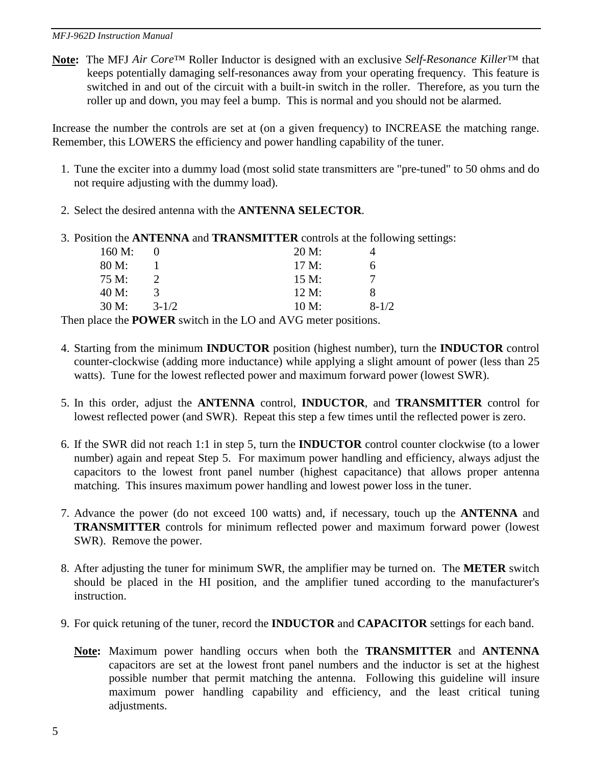#### *MFJ-962D Instruction Manual*

**Note:** The MFJ *Air Core*™ Roller Inductor is designed with an exclusive *Self-Resonance Killer*™ that keeps potentially damaging self-resonances away from your operating frequency. This feature is switched in and out of the circuit with a built-in switch in the roller. Therefore, as you turn the roller up and down, you may feel a bump. This is normal and you should not be alarmed.

Increase the number the controls are set at (on a given frequency) to INCREASE the matching range. Remember, this LOWERS the efficiency and power handling capability of the tuner.

- 1. Tune the exciter into a dummy load (most solid state transmitters are "pre-tuned" to 50 ohms and do not require adjusting with the dummy load).
- 2. Select the desired antenna with the **ANTENNA SELECTOR**.
- 3. Position the **ANTENNA** and **TRANSMITTER** controls at the following settings:

| 160 M: |               | 20 M: |           |
|--------|---------------|-------|-----------|
| 80 M:  |               | 17 M: | h         |
| 75 M:  | $\mathcal{D}$ | 15 M: |           |
| 40 M:  | $\mathcal{R}$ | 12 M: | я         |
| 30 M:  | $3 - 1/2$     | 10 M: | $8 - 1/2$ |
|        |               | .     |           |

Then place the **POWER** switch in the LO and AVG meter positions.

- 4. Starting from the minimum **INDUCTOR** position (highest number), turn the **INDUCTOR** control counter-clockwise (adding more inductance) while applying a slight amount of power (less than 25 watts). Tune for the lowest reflected power and maximum forward power (lowest SWR).
- 5. In this order, adjust the **ANTENNA** control, **INDUCTOR**, and **TRANSMITTER** control for lowest reflected power (and SWR). Repeat this step a few times until the reflected power is zero.
- 6. If the SWR did not reach 1:1 in step 5, turn the **INDUCTOR** control counter clockwise (to a lower number) again and repeat Step 5. For maximum power handling and efficiency, always adjust the capacitors to the lowest front panel number (highest capacitance) that allows proper antenna matching. This insures maximum power handling and lowest power loss in the tuner.
- 7. Advance the power (do not exceed 100 watts) and, if necessary, touch up the **ANTENNA** and **TRANSMITTER** controls for minimum reflected power and maximum forward power (lowest SWR). Remove the power.
- 8. After adjusting the tuner for minimum SWR, the amplifier may be turned on. The **METER** switch should be placed in the HI position, and the amplifier tuned according to the manufacturer's instruction.
- 9. For quick retuning of the tuner, record the **INDUCTOR** and **CAPACITOR** settings for each band.
	- **Note:** Maximum power handling occurs when both the **TRANSMITTER** and **ANTENNA** capacitors are set at the lowest front panel numbers and the inductor is set at the highest possible number that permit matching the antenna. Following this guideline will insure maximum power handling capability and efficiency, and the least critical tuning adjustments.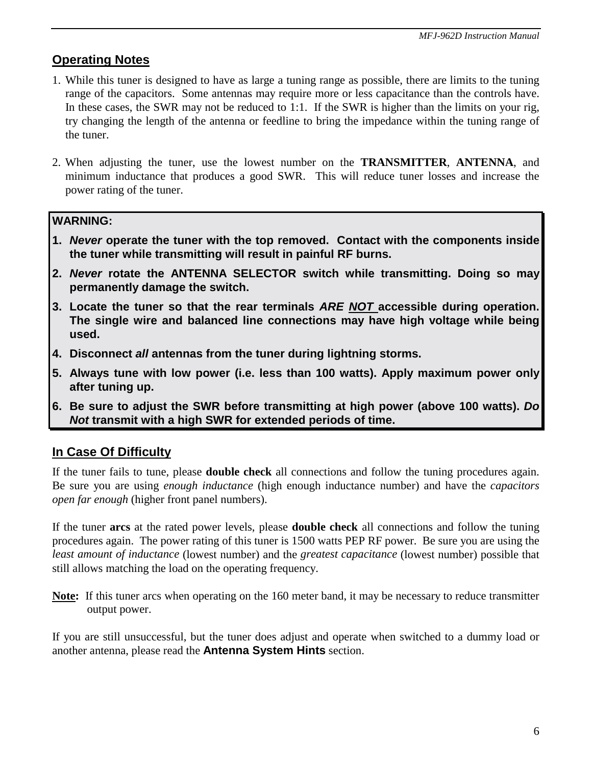### **Operating Notes**

- 1. While this tuner is designed to have as large a tuning range as possible, there are limits to the tuning range of the capacitors. Some antennas may require more or less capacitance than the controls have. In these cases, the SWR may not be reduced to 1:1. If the SWR is higher than the limits on your rig, try changing the length of the antenna or feedline to bring the impedance within the tuning range of the tuner.
- 2. When adjusting the tuner, use the lowest number on the **TRANSMITTER**, **ANTENNA**, and minimum inductance that produces a good SWR. This will reduce tuner losses and increase the power rating of the tuner.

#### **WARNING:**

- **1.** *Never* **operate the tuner with the top removed. Contact with the components inside the tuner while transmitting will result in painful RF burns.**
- **2.** *Never* **rotate the ANTENNA SELECTOR switch while transmitting. Doing so may permanently damage the switch.**
- **3. Locate the tuner so that the rear terminals** *ARE NOT* **accessible during operation. The single wire and balanced line connections may have high voltage while being used.**
- **4. Disconnect** *all* **antennas from the tuner during lightning storms.**
- **5. Always tune with low power (i.e. less than 100 watts). Apply maximum power only after tuning up.**
- **6. Be sure to adjust the SWR before transmitting at high power (above 100 watts).** *Do Not* **transmit with a high SWR for extended periods of time.**

### **In Case Of Difficulty**

If the tuner fails to tune, please **double check** all connections and follow the tuning procedures again. Be sure you are using *enough inductance* (high enough inductance number) and have the *capacitors open far enough* (higher front panel numbers).

If the tuner **arcs** at the rated power levels, please **double check** all connections and follow the tuning procedures again. The power rating of this tuner is 1500 watts PEP RF power. Be sure you are using the *least amount of inductance* (lowest number) and the *greatest capacitance* (lowest number) possible that still allows matching the load on the operating frequency.

**Note:** If this tuner arcs when operating on the 160 meter band, it may be necessary to reduce transmitter output power.

If you are still unsuccessful, but the tuner does adjust and operate when switched to a dummy load or another antenna, please read the **Antenna System Hints** section.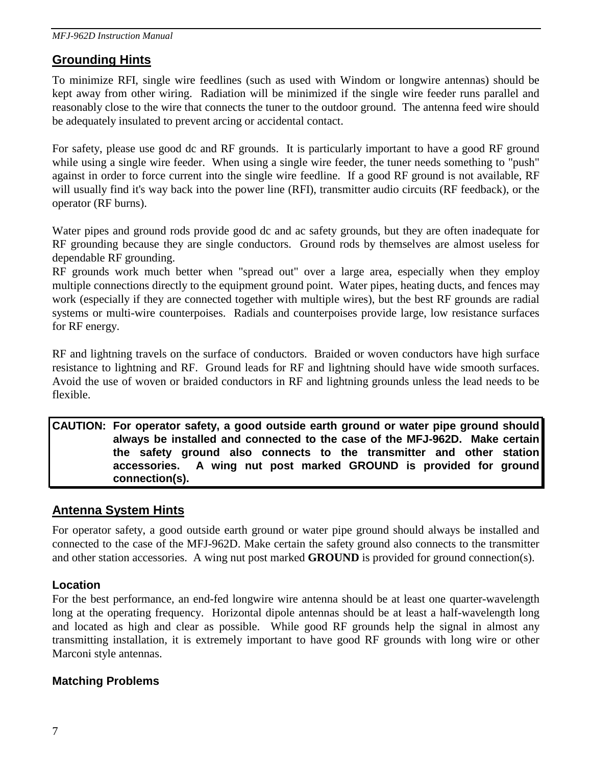### **Grounding Hints**

To minimize RFI, single wire feedlines (such as used with Windom or longwire antennas) should be kept away from other wiring. Radiation will be minimized if the single wire feeder runs parallel and reasonably close to the wire that connects the tuner to the outdoor ground. The antenna feed wire should be adequately insulated to prevent arcing or accidental contact.

For safety, please use good dc and RF grounds. It is particularly important to have a good RF ground while using a single wire feeder. When using a single wire feeder, the tuner needs something to "push" against in order to force current into the single wire feedline. If a good RF ground is not available, RF will usually find it's way back into the power line (RFI), transmitter audio circuits (RF feedback), or the operator (RF burns).

Water pipes and ground rods provide good dc and ac safety grounds, but they are often inadequate for RF grounding because they are single conductors. Ground rods by themselves are almost useless for dependable RF grounding.

RF grounds work much better when "spread out" over a large area, especially when they employ multiple connections directly to the equipment ground point. Water pipes, heating ducts, and fences may work (especially if they are connected together with multiple wires), but the best RF grounds are radial systems or multi-wire counterpoises. Radials and counterpoises provide large, low resistance surfaces for RF energy.

RF and lightning travels on the surface of conductors. Braided or woven conductors have high surface resistance to lightning and RF. Ground leads for RF and lightning should have wide smooth surfaces. Avoid the use of woven or braided conductors in RF and lightning grounds unless the lead needs to be flexible.

#### **CAUTION: For operator safety, a good outside earth ground or water pipe ground should always be installed and connected to the case of the MFJ-962D. Make certain the safety ground also connects to the transmitter and other station accessories. A wing nut post marked GROUND is provided for ground connection(s).**

### **Antenna System Hints**

For operator safety, a good outside earth ground or water pipe ground should always be installed and connected to the case of the MFJ-962D. Make certain the safety ground also connects to the transmitter and other station accessories. A wing nut post marked **GROUND** is provided for ground connection(s).

#### **Location**

For the best performance, an end-fed longwire wire antenna should be at least one quarter-wavelength long at the operating frequency. Horizontal dipole antennas should be at least a half-wavelength long and located as high and clear as possible. While good RF grounds help the signal in almost any transmitting installation, it is extremely important to have good RF grounds with long wire or other Marconi style antennas.

#### **Matching Problems**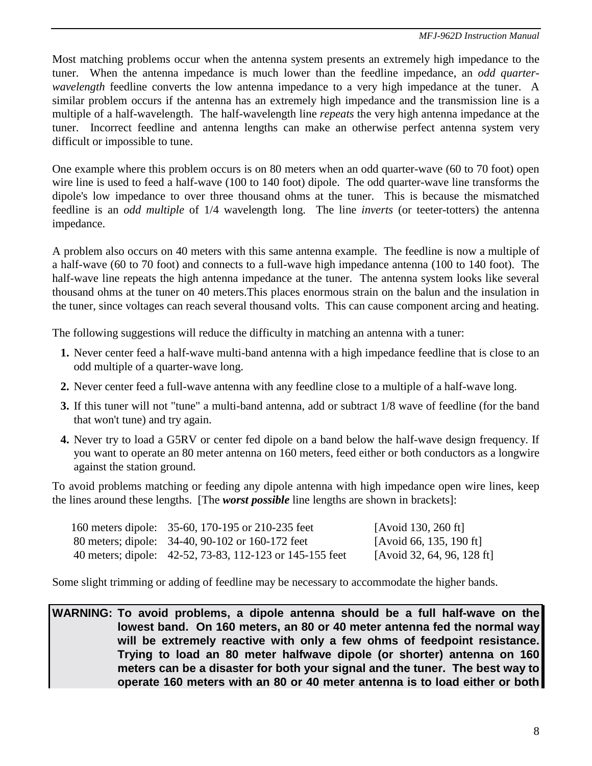Most matching problems occur when the antenna system presents an extremely high impedance to the tuner. When the antenna impedance is much lower than the feedline impedance, an *odd quarterwavelength* feedline converts the low antenna impedance to a very high impedance at the tuner. A similar problem occurs if the antenna has an extremely high impedance and the transmission line is a multiple of a half-wavelength. The half-wavelength line *repeats* the very high antenna impedance at the tuner. Incorrect feedline and antenna lengths can make an otherwise perfect antenna system very difficult or impossible to tune.

One example where this problem occurs is on 80 meters when an odd quarter-wave (60 to 70 foot) open wire line is used to feed a half-wave (100 to 140 foot) dipole. The odd quarter-wave line transforms the dipole's low impedance to over three thousand ohms at the tuner. This is because the mismatched feedline is an *odd multiple* of 1/4 wavelength long. The line *inverts* (or teeter-totters) the antenna impedance.

A problem also occurs on 40 meters with this same antenna example. The feedline is now a multiple of a half-wave (60 to 70 foot) and connects to a full-wave high impedance antenna (100 to 140 foot). The half-wave line repeats the high antenna impedance at the tuner. The antenna system looks like several thousand ohms at the tuner on 40 meters.This places enormous strain on the balun and the insulation in the tuner, since voltages can reach several thousand volts. This can cause component arcing and heating.

The following suggestions will reduce the difficulty in matching an antenna with a tuner:

- **1.** Never center feed a half-wave multi-band antenna with a high impedance feedline that is close to an odd multiple of a quarter-wave long.
- **2.** Never center feed a full-wave antenna with any feedline close to a multiple of a half-wave long.
- **3.** If this tuner will not "tune" a multi-band antenna, add or subtract 1/8 wave of feedline (for the band that won't tune) and try again.
- **4.** Never try to load a G5RV or center fed dipole on a band below the half-wave design frequency. If you want to operate an 80 meter antenna on 160 meters, feed either or both conductors as a longwire against the station ground.

To avoid problems matching or feeding any dipole antenna with high impedance open wire lines, keep the lines around these lengths. [The *worst possible* line lengths are shown in brackets]:

| 160 meters dipole: 35-60, 170-195 or 210-235 feet        | [Avoid 130, 260 ft]        |
|----------------------------------------------------------|----------------------------|
| 80 meters; dipole: 34-40, 90-102 or 160-172 feet         | [Avoid 66, 135, 190 ft]    |
| 40 meters; dipole: 42-52, 73-83, 112-123 or 145-155 feet | [Avoid 32, 64, 96, 128 ft] |

Some slight trimming or adding of feedline may be necessary to accommodate the higher bands.

**WARNING: To avoid problems, a dipole antenna should be a full half-wave on the lowest band. On 160 meters, an 80 or 40 meter antenna fed the normal way will be extremely reactive with only a few ohms of feedpoint resistance. Trying to load an 80 meter halfwave dipole (or shorter) antenna on 160 meters can be a disaster for both your signal and the tuner. The best way to operate 160 meters with an 80 or 40 meter antenna is to load either or both**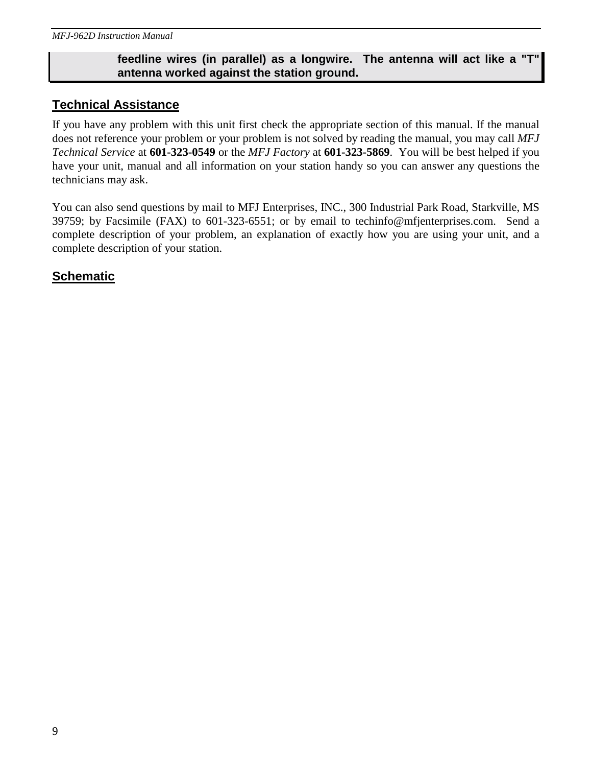#### **feedline wires (in parallel) as a longwire. The antenna will act like a "T" antenna worked against the station ground.**

#### **Technical Assistance**

If you have any problem with this unit first check the appropriate section of this manual. If the manual does not reference your problem or your problem is not solved by reading the manual, you may call *MFJ Technical Service* at **601-323-0549** or the *MFJ Factory* at **601-323-5869**. You will be best helped if you have your unit, manual and all information on your station handy so you can answer any questions the technicians may ask.

You can also send questions by mail to MFJ Enterprises, INC., 300 Industrial Park Road, Starkville, MS 39759; by Facsimile (FAX) to 601-323-6551; or by email to techinfo@mfjenterprises.com. Send a complete description of your problem, an explanation of exactly how you are using your unit, and a complete description of your station.

#### **Schematic**